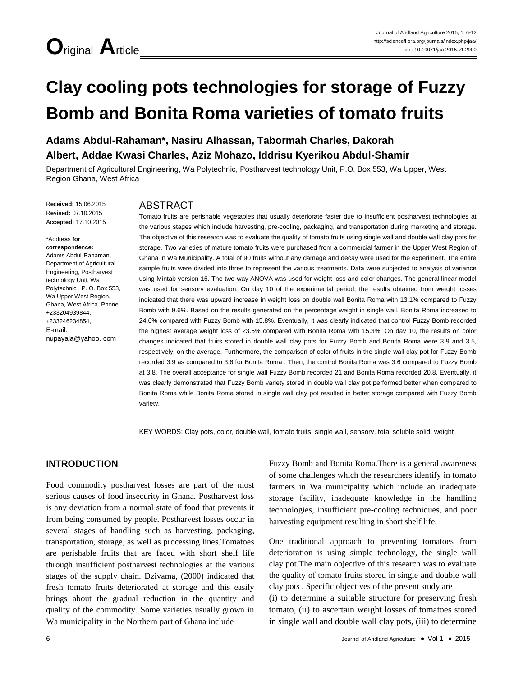# **Clay cooling pots technologies for storage of Fuzzy Bomb and Bonita Roma varieties of tomato fruits**

# **Adams Abdul-Rahaman\*, Nasiru Alhassan, Tabormah Charles, Dakorah Albert, Addae Kwasi Charles, Aziz Mohazo, Iddrisu Kyerikou Abdul-Shamir**

Department of Agricultural Engineering, Wa Polytechnic, Postharvest technology Unit, P.O. Box 553, Wa Upper, West Region Ghana, West Africa

R**e**c**eived:** 15.06.2015 R**e**v**ised:** 07.10.2015 Ac**cepted:** 17.10.2015

\*Addre**s**s **for** c**orrespo**n**de**n**ce:** Adams Abdul-Rahaman, Department of Agricultural Engineering, Postharvest technology Unit, Wa Polytechnic , P. O. Box 553, Wa Upper West Region, Ghana, West Africa. Phone:

+233204939844, +233246234854, E-mail:

nupayala@yahoo. com

# ABSTRACT

Tomato fruits are perishable vegetables that usually deteriorate faster due to insufficient postharvest technologies at the various stages which include harvesting, pre-cooling, packaging, and transportation during marketing and storage. The objective of this research was to evaluate the quality of tomato fruits using single wall and double wall clay pots for storage. Two varieties of mature tomato fruits were purchased from a commercial farmer in the Upper West Region of Ghana in Wa Municipality. A total of 90 fruits without any damage and decay were used for the experiment. The entire sample fruits were divided into three to represent the various treatments. Data were subjected to analysis of variance using Mintab version 16. The two-way ANOVA was used for weight loss and color changes. The general linear model was used for sensory evaluation. On day 10 of the experimental period, the results obtained from weight losses indicated that there was upward increase in weight loss on double wall Bonita Roma with 13.1% compared to Fuzzy Bomb with 9.6%. Based on the results generated on the percentage weight in single wall, Bonita Roma increased to 24.6% compared with Fuzzy Bomb with 15.8%. Eventually, it was clearly indicated that control Fuzzy Bomb recorded the highest average weight loss of 23.5% compared with Bonita Roma with 15.3%. On day 10, the results on color changes indicated that fruits stored in double wall clay pots for Fuzzy Bomb and Bonita Roma were 3.9 and 3.5, respectively, on the average. Furthermore, the comparison of color of fruits in the single wall clay pot for Fuzzy Bomb recorded 3.9 as compared to 3.6 for Bonita Roma . Then, the control Bonita Roma was 3.6 compared to Fuzzy Bomb at 3.8. The overall acceptance for single wall Fuzzy Bomb recorded 21 and Bonita Roma recorded 20.8. Eventually, it was clearly demonstrated that Fuzzy Bomb variety stored in double wall clay pot performed better when compared to Bonita Roma while Bonita Roma stored in single wall clay pot resulted in better storage compared with Fuzzy Bomb variety.

KEY WORDS: Clay pots, color, double wall, tomato fruits, single wall, sensory, total soluble solid, weight

# **INTRODUCTION**

Food commodity postharvest losses are part of the most serious causes of food insecurity in Ghana. Postharvest loss is any deviation from a normal state of food that prevents it from being consumed by people. Postharvest losses occur in several stages of handling such as harvesting, packaging, transportation, storage, as well as processing lines.Tomatoes are perishable fruits that are faced with short shelf life through insufficient postharvest technologies at the various stages of the supply chain. Dzivama, (2000) indicated that fresh tomato fruits deteriorated at storage and this easily brings about the gradual reduction in the quantity and quality of the commodity. Some varieties usually grown in Wa municipality in the Northern part of Ghana include

Fuzzy Bomb and Bonita Roma.There is a general awareness of some challenges which the researchers identify in tomato farmers in Wa municipality which include an inadequate storage facility, inadequate knowledge in the handling technologies, insufficient pre-cooling techniques, and poor harvesting equipment resulting in short shelf life.

One traditional approach to preventing tomatoes from deterioration is using simple technology, the single wall clay pot.The main objective of this research was to evaluate the quality of tomato fruits stored in single and double wall clay pots . Specific objectives of the present study are

(i) to determine a suitable structure for preserving fresh tomato, (ii) to ascertain weight losses of tomatoes stored in single wall and double wall clay pots, (iii) to determine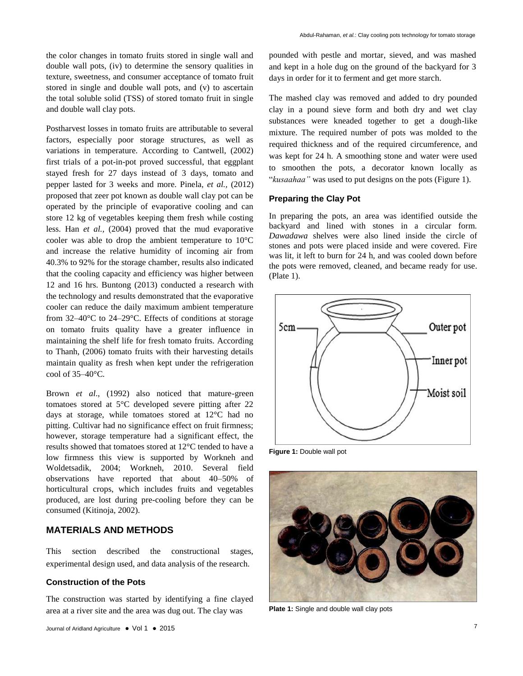the color changes in tomato fruits stored in single wall and double wall pots, (iv) to determine the sensory qualities in texture, sweetness, and consumer acceptance of tomato fruit stored in single and double wall pots, and (v) to ascertain the total soluble solid (TSS) of stored tomato fruit in single and double wall clay pots.

Postharvest losses in tomato fruits are attributable to several factors, especially poor storage structures, as well as variations in temperature. According to Cantwell, (2002) first trials of a pot-in-pot proved successful, that eggplant stayed fresh for 27 days instead of 3 days, tomato and pepper lasted for 3 weeks and more. Pinela, *et al.,* (2012) proposed that zeer pot known as double wall clay pot can be operated by the principle of evaporative cooling and can store 12 kg of vegetables keeping them fresh while costing less. Han *et al.,* (2004) proved that the mud evaporative cooler was able to drop the ambient temperature to 10°C and increase the relative humidity of incoming air from 40.3% to 92% for the storage chamber, results also indicated that the cooling capacity and efficiency was higher between 12 and 16 hrs. Buntong (2013) conducted a research with the technology and results demonstrated that the evaporative cooler can reduce the daily maximum ambient temperature from 32–40°C to 24–29°C. Effects of conditions at storage on tomato fruits quality have a greater influence in maintaining the shelf life for fresh tomato fruits. According to Thanh, (2006) tomato fruits with their harvesting details maintain quality as fresh when kept under the refrigeration cool of  $35-40$ °C.

Brown *et al*., (1992) also noticed that mature-green tomatoes stored at 5°C developed severe pitting after 22 days at storage, while tomatoes stored at 12°C had no pitting. Cultivar had no significance effect on fruit firmness; however, storage temperature had a significant effect, the results showed that tomatoes stored at 12°C tended to have a low firmness this view is supported by Workneh and Woldetsadik, 2004; Workneh, 2010. Several field observations have reported that about 40–50% of horticultural crops, which includes fruits and vegetables produced, are lost during pre-cooling before they can be consumed (Kitinoja, 2002).

# **MATERIALS AND METHODS**

This section described the constructional stages, experimental design used, and data analysis of the research.

# **Construction of the Pots**

The construction was started by identifying a fine clayed area at a river site and the area was dug out. The clay was

pounded with pestle and mortar, sieved, and was mashed and kept in a hole dug on the ground of the backyard for 3 days in order for it to ferment and get more starch.

The mashed clay was removed and added to dry pounded clay in a pound sieve form and both dry and wet clay substances were kneaded together to get a dough-like mixture. The required number of pots was molded to the required thickness and of the required circumference, and was kept for 24 h. A smoothing stone and water were used to smoothen the pots, a decorator known locally as "*kusaahaa"* was used to put designs on the pots (Figure 1).

#### **Preparing the Clay Pot**

In preparing the pots, an area was identified outside the backyard and lined with stones in a circular form. *Dawadawa* shelves were also lined inside the circle of stones and pots were placed inside and were covered. Fire was lit, it left to burn for 24 h, and was cooled down before the pots were removed, cleaned, and became ready for use. (Plate 1).



**Figure 1:** Double wall pot



**Plate 1:** Single and double wall clay pots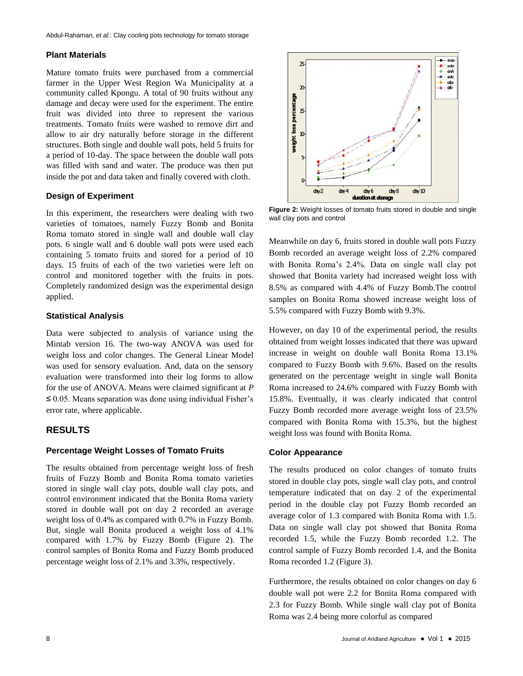#### **Plant Materials**

Mature tomato fruits were purchased from a commercial farmer in the Upper West Region Wa Municipality at a community called Kpongu. A total of 90 fruits without any damage and decay were used for the experiment. The entire fruit was divided into three to represent the various treatments. Tomato fruits were washed to remove dirt and allow to air dry naturally before storage in the different structures. Both single and double wall pots, held 5 fruits for a period of 10-day. The space between the double wall pots was filled with sand and water. The produce was then put inside the pot and data taken and finally covered with cloth.

#### **Design of Experiment**

In this experiment, the researchers were dealing with two varieties of tomatoes, namely Fuzzy Bomb and Bonita Roma tomato stored in single wall and double wall clay pots. 6 single wall and 6 double wall pots were used each containing 5 tomato fruits and stored for a period of 10 days. 15 fruits of each of the two varieties were left on control and monitored together with the fruits in pots. Completely randomized design was the experimental design applied.

#### **Statistical Analysis**

Data were subjected to analysis of variance using the Mintab version 16. The two-way ANOVA was used for weight loss and color changes. The General Linear Model was used for sensory evaluation. And, data on the sensory evaluation were transformed into their log forms to allow for the use of ANOVA. Means were claimed significant at *P* ≤ 0.05. Means separation was done using individual Fisher's error rate, where applicable.

# **RESULTS**

### **Percentage Weight Losses of Tomato Fruits**

The results obtained from percentage weight loss of fresh fruits of Fuzzy Bomb and Bonita Roma tomato varieties stored in single wall clay pots, double wall clay pots, and control environment indicated that the Bonita Roma variety stored in double wall pot on day 2 recorded an average weight loss of 0.4% as compared with 0.7% in Fuzzy Bomb. But, single wall Bonita produced a weight loss of 4.1% compared with 1.7% by Fuzzy Bomb (Figure 2). The control samples of Bonita Roma and Fuzzy Bomb produced percentage weight loss of 2.1% and 3.3%, respectively.



**Figure 2:** Weight losses of tomato fruits stored in double and single wall clay pots and control

Meanwhile on day 6, fruits stored in double wall pots Fuzzy Bomb recorded an average weight loss of 2.2% compared with Bonita Roma's 2.4%. Data on single wall clay pot showed that Bonita variety had increased weight loss with 8.5% as compared with 4.4% of Fuzzy Bomb.The control samples on Bonita Roma showed increase weight loss of 5.5% compared with Fuzzy Bomb with 9.3%.

However, on day 10 of the experimental period, the results obtained from weight losses indicated that there was upward increase in weight on double wall Bonita Roma 13.1% compared to Fuzzy Bomb with 9.6%. Based on the results generated on the percentage weight in single wall Bonita Roma increased to 24.6% compared with Fuzzy Bomb with 15.8%. Eventually, it was clearly indicated that control Fuzzy Bomb recorded more average weight loss of 23.5% compared with Bonita Roma with 15.3%, but the highest weight loss was found with Bonita Roma.

#### **Color Appearance**

The results produced on color changes of tomato fruits stored in double clay pots, single wall clay pots, and control temperature indicated that on day 2 of the experimental period in the double clay pot Fuzzy Bomb recorded an average color of 1.3 compared with Bonita Roma with 1.5. Data on single wall clay pot showed that Bonita Roma recorded 1.5, while the Fuzzy Bomb recorded 1.2. The control sample of Fuzzy Bomb recorded 1.4, and the Bonita Roma recorded 1.2 (Figure 3).

Furthermore, the results obtained on color changes on day 6 double wall pot were 2.2 for Bonita Roma compared with 2.3 for Fuzzy Bomb. While single wall clay pot of Bonita Roma was 2.4 being more colorful as compared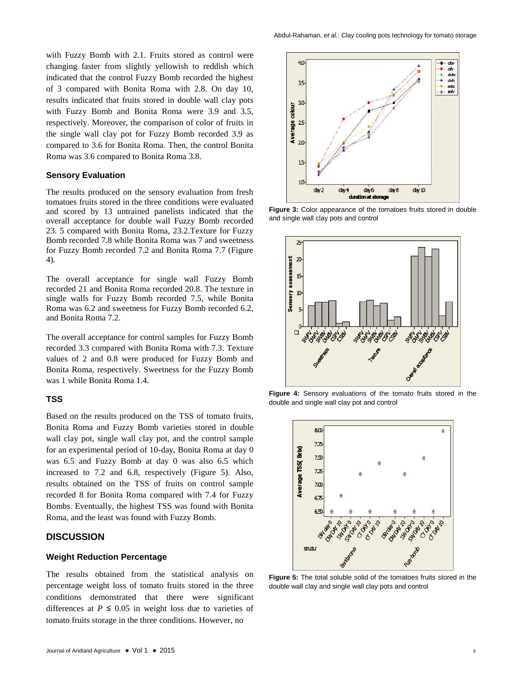with Fuzzy Bomb with 2.1. Fruits stored as control were changing faster from slightly yellowish to reddish which indicated that the control Fuzzy Bomb recorded the highest of 3 compared with Bonita Roma with 2.8. On day 10, results indicated that fruits stored in double wall clay pots with Fuzzy Bomb and Bonita Roma were 3.9 and 3.5, respectively. Moreover, the comparison of color of fruits in the single wall clay pot for Fuzzy Bomb recorded 3.9 as compared to 3.6 for Bonita Roma. Then, the control Bonita Roma was 3.6 compared to Bonita Roma 3.8.

#### **Sensory Evaluation**

The results produced on the sensory evaluation from fresh tomatoes fruits stored in the three conditions were evaluated and scored by 13 untrained panelists indicated that the overall acceptance for double wall Fuzzy Bomb recorded 23. 5 compared with Bonita Roma, 23.2.Texture for Fuzzy Bomb recorded 7.8 while Bonita Roma was 7 and sweetness for Fuzzy Bomb recorded 7.2 and Bonita Roma 7.7 (Figure 4).

The overall acceptance for single wall Fuzzy Bomb recorded 21 and Bonita Roma recorded 20.8. The texture in single walls for Fuzzy Bomb recorded 7.5, while Bonita Roma was 6.2 and sweetness for Fuzzy Bomb recorded 6.2, and Bonita Roma 7.2.

The overall acceptance for control samples for Fuzzy Bomb recorded 3.3 compared with Bonita Roma with 7.3. Texture values of 2 and 0.8 were produced for Fuzzy Bomb and Bonita Roma, respectively. Sweetness for the Fuzzy Bomb was 1 while Bonita Roma 1.4.

#### **TSS**

Based on the results produced on the TSS of tomato fruits, Bonita Roma and Fuzzy Bomb varieties stored in double wall clay pot, single wall clay pot, and the control sample for an experimental period of 10-day, Bonita Roma at day 0 was 6.5 and Fuzzy Bomb at day 0 was also 6.5 which increased to 7.2 and 6.8, respectively (Figure 5). Also, results obtained on the TSS of fruits on control sample recorded 8 for Bonita Roma compared with 7.4 for Fuzzy Bombs. Eventually, the highest TSS was found with Bonita Roma, and the least was found with Fuzzy Bomb.

#### **DISCUSSION**

#### **Weight Reduction Percentage**

The results obtained from the statistical analysis on percentage weight loss of tomato fruits stored in the three conditions demonstrated that there were significant differences at  $P \leq 0.05$  in weight loss due to varieties of tomato fruits storage in the three conditions. However, no



**Figure 3:** Color appearance of the tomatoes fruits stored in double and single wall clay pots and control



**Figure 4:** Sensory evaluations of the tomato fruits stored in the double and single wall clay pot and control



**Figure 5:** The total soluble solid of the tomatoes fruits stored in the double wall clay and single wall clay pots and control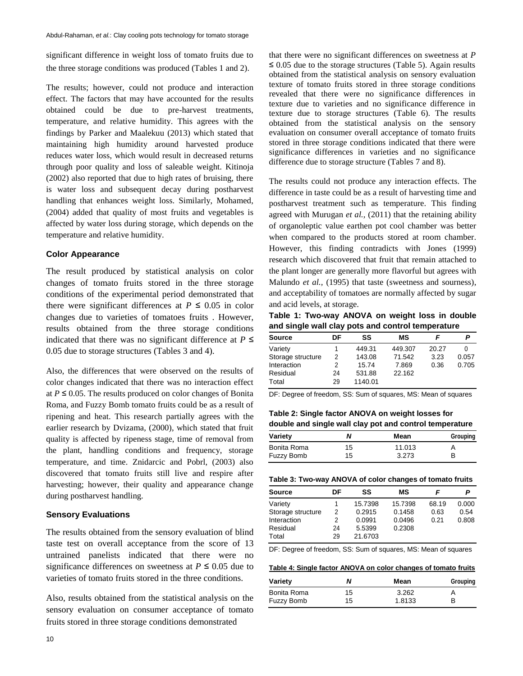significant difference in weight loss of tomato fruits due to the three storage conditions was produced (Tables 1 and 2).

The results; however, could not produce and interaction effect. The factors that may have accounted for the results obtained could be due to pre-harvest treatments, temperature, and relative humidity. This agrees with the findings by Parker and Maalekuu (2013) which stated that maintaining high humidity around harvested produce reduces water loss, which would result in decreased returns through poor quality and loss of saleable weight. Kitinoja (2002) also reported that due to high rates of bruising, there is water loss and subsequent decay during postharvest handling that enhances weight loss. Similarly, Mohamed, (2004) added that quality of most fruits and vegetables is affected by water loss during storage, which depends on the temperature and relative humidity.

#### **Color Appearance**

The result produced by statistical analysis on color changes of tomato fruits stored in the three storage conditions of the experimental period demonstrated that there were significant differences at  $P \leq 0.05$  in color changes due to varieties of tomatoes fruits . However, results obtained from the three storage conditions indicated that there was no significant difference at  $P \leq$ 0.05 due to storage structures (Tables 3 and 4).

Also, the differences that were observed on the results of color changes indicated that there was no interaction effect at  $P \le 0.05$ . The results produced on color changes of Bonita Roma, and Fuzzy Bomb tomato fruits could be as a result of ripening and heat. This research partially agrees with the earlier research by Dvizama, (2000), which stated that fruit quality is affected by ripeness stage, time of removal from the plant, handling conditions and frequency, storage temperature, and time. Znidarcic and Pobrl, (2003) also discovered that tomato fruits still live and respire after harvesting; however, their quality and appearance change during postharvest handling.

#### **Sensory Evaluations**

The results obtained from the sensory evaluation of blind taste test on overall acceptance from the score of 13 untrained panelists indicated that there were no significance differences on sweetness at  $P \leq 0.05$  due to varieties of tomato fruits stored in the three conditions.

Also, results obtained from the statistical analysis on the sensory evaluation on consumer acceptance of tomato fruits stored in three storage conditions demonstrated

that there were no significant differences on sweetness at *P*  $\leq 0.05$  due to the storage structures (Table 5). Again results obtained from the statistical analysis on sensory evaluation texture of tomato fruits stored in three storage conditions revealed that there were no significance differences in texture due to varieties and no significance difference in texture due to storage structures (Table 6). The results obtained from the statistical analysis on the sensory evaluation on consumer overall acceptance of tomato fruits stored in three storage conditions indicated that there were significance differences in varieties and no significance difference due to storage structure (Tables 7 and 8).

The results could not produce any interaction effects. The difference in taste could be as a result of harvesting time and postharvest treatment such as temperature. This finding agreed with Murugan *et al.,* (2011) that the retaining ability of organoleptic value earthen pot cool chamber was better when compared to the products stored at room chamber. However, this finding contradicts with Jones (1999) research which discovered that fruit that remain attached to the plant longer are generally more flavorful but agrees with Malundo *et al.,* (1995) that taste (sweetness and sourness), and acceptability of tomatoes are normally affected by sugar and acid levels, at storage.

**Table 1: Two-way ANOVA on weight loss in double and single wall clay pots and control temperature**

| <b>Source</b>     | DF | SS      | МS      |       |       |
|-------------------|----|---------|---------|-------|-------|
| Variety           |    | 449.31  | 449.307 | 20.27 |       |
| Storage structure | 2  | 143.08  | 71.542  | 3.23  | 0.057 |
| Interaction       |    | 15.74   | 7.869   | 0.36  | 0.705 |
| Residual          | 24 | 531.88  | 22.162  |       |       |
| Total             | 29 | 1140.01 |         |       |       |

DF: Degree of freedom, SS: Sum of squares, MS: Mean of squares

**Table 2: Single factor ANOVA on weight losses for double and single wall clay pot and control temperature**

| Variety     | N  | Mean   | Grouping |
|-------------|----|--------|----------|
| Bonita Roma | 15 | 11.013 |          |
| Fuzzy Bomb  | 15 | 3.273  | в        |

| <b>Source</b>     | DF | SS      | МS      |       | P     |
|-------------------|----|---------|---------|-------|-------|
| Variety           |    | 15.7398 | 15.7398 | 68.19 | 0.000 |
| Storage structure | 2  | 0.2915  | 0.1458  | 0.63  | 0.54  |
| Interaction       | 2  | 0.0991  | 0.0496  | 0.21  | 0.808 |
| Residual          | 24 | 5.5399  | 0.2308  |       |       |
| Total             | 29 | 21.6703 |         |       |       |

DF: Degree of freedom, SS: Sum of squares, MS: Mean of squares

**Table 4: Single factor ANOVA on color changes of tomato fruits**

| Variety     | N  | Mean   | Grouping |
|-------------|----|--------|----------|
| Bonita Roma | 15 | 3.262  |          |
| Fuzzy Bomb  | 15 | 1.8133 | в        |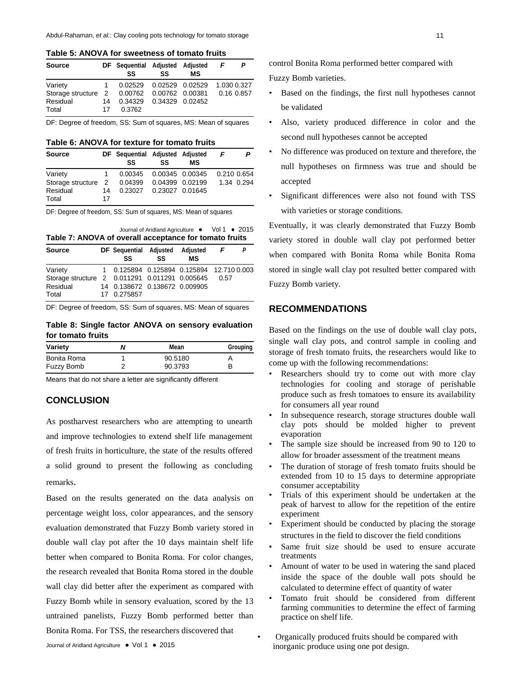**Table 5: ANOVA for sweetness of tomato fruits**

| <b>Source</b>                               |    | DF Sequential Adjusted Adjusted<br>SS | SS                        | мs | F | P           |
|---------------------------------------------|----|---------------------------------------|---------------------------|----|---|-------------|
| Variety                                     |    |                                       | 0.02529  0.02529  0.02529 |    |   | 1.030 0.327 |
| Storage structure 2 0.00762 0.00762 0.00381 |    |                                       |                           |    |   | 0.16 0.857  |
| Residual                                    | 14 |                                       | 0.34329 0.34329 0.02452   |    |   |             |
| Total                                       | 17 | 0.3762                                |                           |    |   |             |
|                                             |    |                                       |                           |    |   |             |

DF: Degree of freedom, SS: Sum of squares, MS: Mean of squares

**Table 6: ANOVA for texture for tomato fruits**

| <b>Source</b>       |    | DF Sequential Adjusted Adjusted<br>SS | SS              | МS              |             |            |
|---------------------|----|---------------------------------------|-----------------|-----------------|-------------|------------|
| Variety             | 1. | 0.00345                               |                 | 0.00345 0.00345 | 0.210 0.654 |            |
| Storage structure 2 |    | 0.04399                               | 0.04399 0.02199 |                 |             | 1.34 0.294 |
| Residual            | 14 | 0.23027                               | 0.23027 0.01645 |                 |             |            |
| Total               | 17 |                                       |                 |                 |             |            |

DF: Degree of freedom, SS: Sum of squares, MS: Mean of squares

Journal of Aridland Agriculture ● Vol 1 ● 2015 **Table 7: ANOVA of overall acceptance for tomato fruits**

| <b>Source</b>                                                                  |  | DF Sequential Adjusted<br>SS                                                              | SS | Adjusted<br>МS | F    | P |
|--------------------------------------------------------------------------------|--|-------------------------------------------------------------------------------------------|----|----------------|------|---|
| Variety<br>Storage structure 2 0.011291 0.011291 0.005645<br>Residual<br>Total |  | 1 0.125894 0.125894 0.125894 12.710 0.003<br>14 0.138672 0.138672 0.009905<br>17 0.275857 |    |                | 0.57 |   |

DF: Degree of freedom, SS: Sum of squares, MS: Mean of squares

**Table 8: Single factor ANOVA on sensory evaluation for tomato fruits**

| Variety     | Mean    | Grouping |
|-------------|---------|----------|
| Bonita Roma | 90.5180 | A        |
| Fuzzy Bomb  | 90.3793 | в        |

Means that do not share a letter are significantly different

#### **CONCLUSION**

As postharvest researchers who are attempting to unearth and improve technologies to extend shelf life management of fresh fruits in horticulture, the state of the results offered a solid ground to present the following as concluding remarks.

Based on the results generated on the data analysis on percentage weight loss, color appearances, and the sensory evaluation demonstrated that Fuzzy Bomb variety stored in double wall clay pot after the 10 days maintain shelf life better when compared to Bonita Roma. For color changes, the research revealed that Bonita Roma stored in the double wall clay did better after the experiment as compared with Fuzzy Bomb while in sensory evaluation, scored by the 13 untrained panelists, Fuzzy Bomb performed better than Bonita Roma. For TSS, the researchers discovered that

control Bonita Roma performed better compared with Fuzzy Bomb varieties.

- Based on the findings, the first null hypotheses cannot be validated
- Also, variety produced difference in color and the second null hypotheses cannot be accepted
- No difference was produced on texture and therefore, the null hypotheses on firmness was true and should be accepted
- Significant differences were also not found with TSS with varieties or storage conditions.

Eventually, it was clearly demonstrated that Fuzzy Bomb variety stored in double wall clay pot performed better when compared with Bonita Roma while Bonita Roma stored in single wall clay pot resulted better compared with Fuzzy Bomb variety.

#### **RECOMMENDATIONS**

Based on the findings on the use of double wall clay pots, single wall clay pots, and control sample in cooling and storage of fresh tomato fruits, the researchers would like to come up with the following recommendations:

- Researchers should try to come out with more clay technologies for cooling and storage of perishable produce such as fresh tomatoes to ensure its availability for consumers all year round
- In subsequence research, storage structures double wall clay pots should be molded higher to prevent evaporation
- The sample size should be increased from 90 to 120 to allow for broader assessment of the treatment means
- The duration of storage of fresh tomato fruits should be extended from 10 to 15 days to determine appropriate consumer acceptability
- Trials of this experiment should be undertaken at the peak of harvest to allow for the repetition of the entire experiment
- Experiment should be conducted by placing the storage structures in the field to discover the field conditions
- Same fruit size should be used to ensure accurate treatments
- Amount of water to be used in watering the sand placed inside the space of the double wall pots should be calculated to determine effect of quantity of water
- Tomato fruit should be considered from different farming communities to determine the effect of farming practice on shelf life.
- Organically produced fruits should be compared with inorganic produce using one pot design.